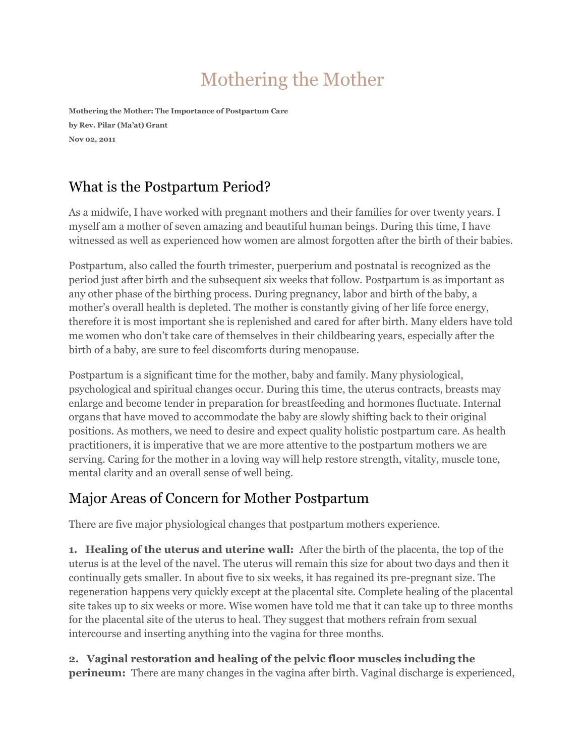# Mothering the Mother

**Mothering the Mother: The Importance of Postpartum Care by Rev. Pilar (Ma'at) Grant Nov 02, 2011**

### What is the Postpartum Period?

As a midwife, I have worked with pregnant mothers and their families for over twenty years. I myself am a mother of seven amazing and beautiful human beings. During this time, I have witnessed as well as experienced how women are almost forgotten after the birth of their babies.

Postpartum, also called the fourth trimester, puerperium and postnatal is recognized as the period just after birth and the subsequent six weeks that follow. Postpartum is as important as any other phase of the birthing process. During pregnancy, labor and birth of the baby, a mother's overall health is depleted. The mother is constantly giving of her life force energy, therefore it is most important she is replenished and cared for after birth. Many elders have told me women who don't take care of themselves in their childbearing years, especially after the birth of a baby, are sure to feel discomforts during menopause.

Postpartum is a significant time for the mother, baby and family. Many physiological, psychological and spiritual changes occur. During this time, the uterus contracts, breasts may enlarge and become tender in preparation for breastfeeding and hormones fluctuate. Internal organs that have moved to accommodate the baby are slowly shifting back to their original positions. As mothers, we need to desire and expect quality holistic postpartum care. As health practitioners, it is imperative that we are more attentive to the postpartum mothers we are serving. Caring for the mother in a loving way will help restore strength, vitality, muscle tone, mental clarity and an overall sense of well being.

## Major Areas of Concern for Mother Postpartum

There are five major physiological changes that postpartum mothers experience.

**1. Healing of the uterus and uterine wall:** After the birth of the placenta, the top of the uterus is at the level of the navel. The uterus will remain this size for about two days and then it continually gets smaller. In about five to six weeks, it has regained its pre-pregnant size. The regeneration happens very quickly except at the placental site. Complete healing of the placental site takes up to six weeks or more. Wise women have told me that it can take up to three months for the placental site of the uterus to heal. They suggest that mothers refrain from sexual intercourse and inserting anything into the vagina for three months.

**2. Vaginal restoration and healing of the pelvic floor muscles including the perineum:** There are many changes in the vagina after birth. Vaginal discharge is experienced,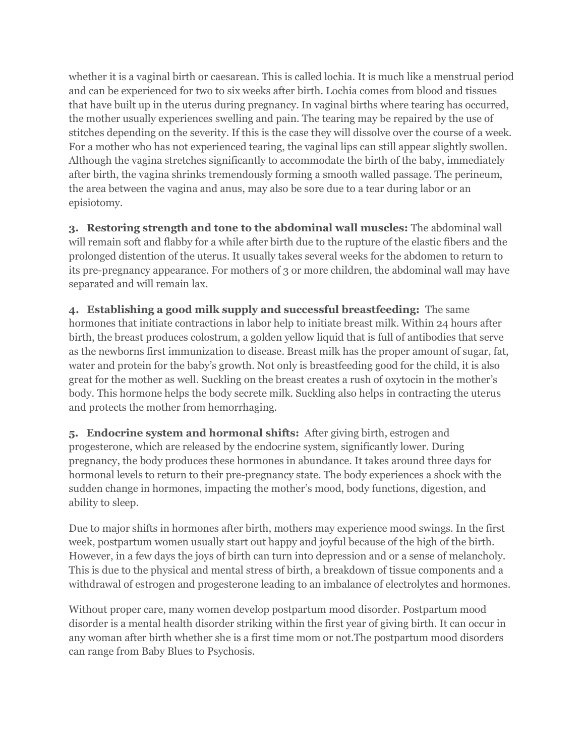whether it is a vaginal birth or caesarean. This is called lochia. It is much like a menstrual period and can be experienced for two to six weeks after birth. Lochia comes from blood and tissues that have built up in the uterus during pregnancy. In vaginal births where tearing has occurred, the mother usually experiences swelling and pain. The tearing may be repaired by the use of stitches depending on the severity. If this is the case they will dissolve over the course of a week. For a mother who has not experienced tearing, the vaginal lips can still appear slightly swollen. Although the vagina stretches significantly to accommodate the birth of the baby, immediately after birth, the vagina shrinks tremendously forming a smooth walled passage. The perineum, the area between the vagina and anus, may also be sore due to a tear during labor or an episiotomy.

**3. Restoring strength and tone to the abdominal wall muscles:** The abdominal wall will remain soft and flabby for a while after birth due to the rupture of the elastic fibers and the prolonged distention of the uterus. It usually takes several weeks for the abdomen to return to its pre-pregnancy appearance. For mothers of 3 or more children, the abdominal wall may have separated and will remain lax.

**4. Establishing a good milk supply and successful breastfeeding:** The same hormones that initiate contractions in labor help to initiate breast milk. Within 24 hours after birth, the breast produces colostrum, a golden yellow liquid that is full of antibodies that serve as the newborns first immunization to disease. Breast milk has the proper amount of sugar, fat, water and protein for the baby's growth. Not only is breastfeeding good for the child, it is also great for the mother as well. Suckling on the breast creates a rush of oxytocin in the mother's body. This hormone helps the body secrete milk. Suckling also helps in contracting the uterus and protects the mother from hemorrhaging.

**5. Endocrine system and hormonal shifts:** After giving birth, estrogen and progesterone, which are released by the endocrine system, significantly lower. During pregnancy, the body produces these hormones in abundance. It takes around three days for hormonal levels to return to their pre-pregnancy state. The body experiences a shock with the sudden change in hormones, impacting the mother's mood, body functions, digestion, and ability to sleep.

Due to major shifts in hormones after birth, mothers may experience mood swings. In the first week, postpartum women usually start out happy and joyful because of the high of the birth. However, in a few days the joys of birth can turn into depression and or a sense of melancholy. This is due to the physical and mental stress of birth, a breakdown of tissue components and a withdrawal of estrogen and progesterone leading to an imbalance of electrolytes and hormones.

Without proper care, many women develop postpartum mood disorder. Postpartum mood disorder is a mental health disorder striking within the first year of giving birth. It can occur in any woman after birth whether she is a first time mom or not.The postpartum mood disorders can range from Baby Blues to Psychosis.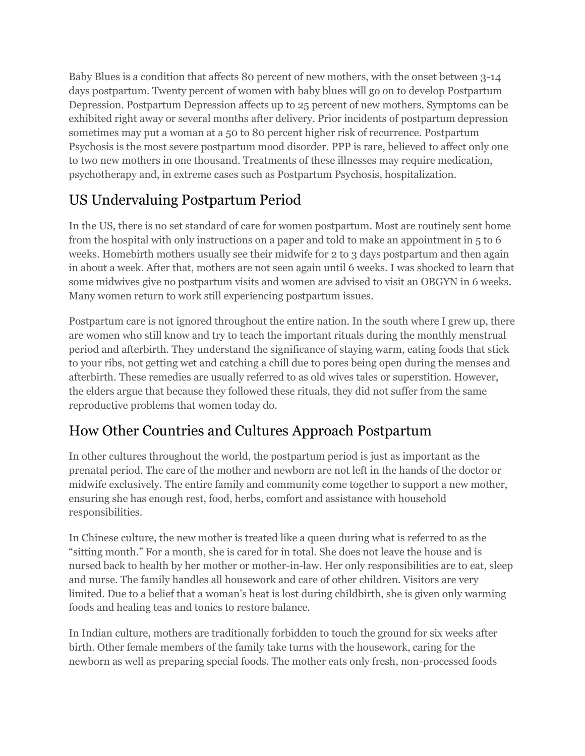Baby Blues is a condition that affects 80 percent of new mothers, with the onset between 3-14 days postpartum. Twenty percent of women with baby blues will go on to develop Postpartum Depression. Postpartum Depression affects up to 25 percent of new mothers. Symptoms can be exhibited right away or several months after delivery. Prior incidents of postpartum depression sometimes may put a woman at a 50 to 80 percent higher risk of recurrence. Postpartum Psychosis is the most severe postpartum mood disorder. PPP is rare, believed to affect only one to two new mothers in one thousand. Treatments of these illnesses may require medication, psychotherapy and, in extreme cases such as Postpartum Psychosis, hospitalization.

## US Undervaluing Postpartum Period

In the US, there is no set standard of care for women postpartum. Most are routinely sent home from the hospital with only instructions on a paper and told to make an appointment in 5 to 6 weeks. Homebirth mothers usually see their midwife for 2 to 3 days postpartum and then again in about a week. After that, mothers are not seen again until 6 weeks. I was shocked to learn that some midwives give no postpartum visits and women are advised to visit an OBGYN in 6 weeks. Many women return to work still experiencing postpartum issues.

Postpartum care is not ignored throughout the entire nation. In the south where I grew up, there are women who still know and try to teach the important rituals during the monthly menstrual period and afterbirth. They understand the significance of staying warm, eating foods that stick to your ribs, not getting wet and catching a chill due to pores being open during the menses and afterbirth. These remedies are usually referred to as old wives tales or superstition. However, the elders argue that because they followed these rituals, they did not suffer from the same reproductive problems that women today do.

## How Other Countries and Cultures Approach Postpartum

In other cultures throughout the world, the postpartum period is just as important as the prenatal period. The care of the mother and newborn are not left in the hands of the doctor or midwife exclusively. The entire family and community come together to support a new mother, ensuring she has enough rest, food, herbs, comfort and assistance with household responsibilities.

In Chinese culture, the new mother is treated like a queen during what is referred to as the "sitting month." For a month, she is cared for in total. She does not leave the house and is nursed back to health by her mother or mother-in-law. Her only responsibilities are to eat, sleep and nurse. The family handles all housework and care of other children. Visitors are very limited. Due to a belief that a woman's heat is lost during childbirth, she is given only warming foods and healing teas and tonics to restore balance.

In Indian culture, mothers are traditionally forbidden to touch the ground for six weeks after birth. Other female members of the family take turns with the housework, caring for the newborn as well as preparing special foods. The mother eats only fresh, non-processed foods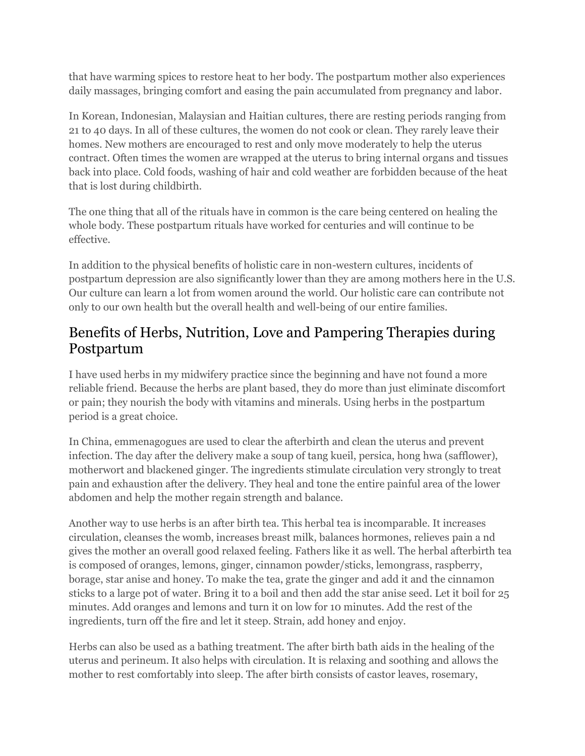that have warming spices to restore heat to her body. The postpartum mother also experiences daily massages, bringing comfort and easing the pain accumulated from pregnancy and labor.

In Korean, Indonesian, Malaysian and Haitian cultures, there are resting periods ranging from 21 to 40 days. In all of these cultures, the women do not cook or clean. They rarely leave their homes. New mothers are encouraged to rest and only move moderately to help the uterus contract. Often times the women are wrapped at the uterus to bring internal organs and tissues back into place. Cold foods, washing of hair and cold weather are forbidden because of the heat that is lost during childbirth.

The one thing that all of the rituals have in common is the care being centered on healing the whole body. These postpartum rituals have worked for centuries and will continue to be effective.

In addition to the physical benefits of holistic care in non-western cultures, incidents of postpartum depression are also significantly lower than they are among mothers here in the U.S. Our culture can learn a lot from women around the world. Our holistic care can contribute not only to our own health but the overall health and well-being of our entire families.

### Benefits of Herbs, Nutrition, Love and Pampering Therapies during Postpartum

I have used herbs in my midwifery practice since the beginning and have not found a more reliable friend. Because the herbs are plant based, they do more than just eliminate discomfort or pain; they nourish the body with vitamins and minerals. Using herbs in the postpartum period is a great choice.

In China, emmenagogues are used to clear the afterbirth and clean the uterus and prevent infection. The day after the delivery make a soup of tang kueil, persica, hong hwa (safflower), motherwort and blackened ginger. The ingredients stimulate circulation very strongly to treat pain and exhaustion after the delivery. They heal and tone the entire painful area of the lower abdomen and help the mother regain strength and balance.

Another way to use herbs is an after birth tea. This herbal tea is incomparable. It increases circulation, cleanses the womb, increases breast milk, balances hormones, relieves pain a nd gives the mother an overall good relaxed feeling. Fathers like it as well. The herbal afterbirth tea is composed of oranges, lemons, ginger, cinnamon powder/sticks, lemongrass, raspberry, borage, star anise and honey. To make the tea, grate the ginger and add it and the cinnamon sticks to a large pot of water. Bring it to a boil and then add the star anise seed. Let it boil for 25 minutes. Add oranges and lemons and turn it on low for 10 minutes. Add the rest of the ingredients, turn off the fire and let it steep. Strain, add honey and enjoy.

Herbs can also be used as a bathing treatment. The after birth bath aids in the healing of the uterus and perineum. It also helps with circulation. It is relaxing and soothing and allows the mother to rest comfortably into sleep. The after birth consists of castor leaves, rosemary,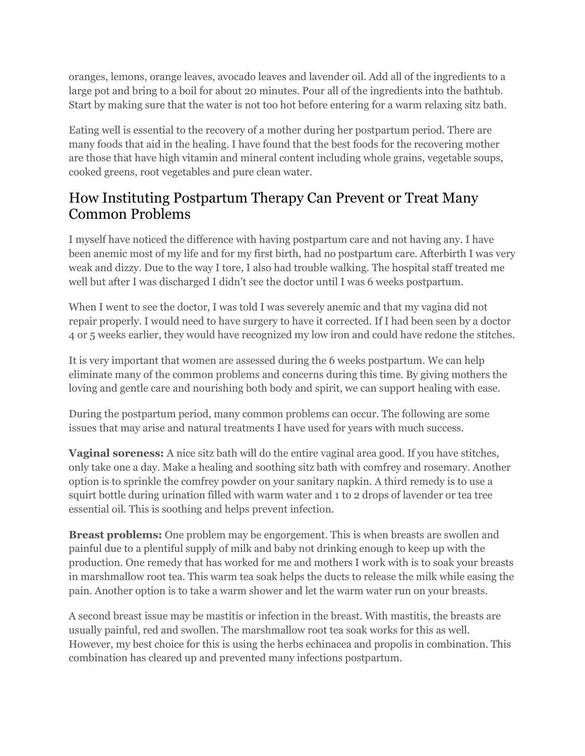oranges, lemons, orange leaves, avocado leaves and lavender oil. Add all of the ingredients to a large pot and bring to a boil for about 20 minutes. Pour all of the ingredients into the bathtub. Start by making sure that the water is not too hot before entering for a warm relaxing sitz bath.

Eating well is essential to the recovery of a mother during her postpartum period. There are many foods that aid in the healing. I have found that the best foods for the recovering mother are those that have high vitamin and mineral content including whole grains, vegetable soups, cooked greens, root vegetables and pure clean water.

#### How Instituting Postpartum Therapy Can Prevent or Treat Many Common Problems

I myself have noticed the difference with having postpartum care and not having any. I have been anemic most of my life and for my first birth, had no postpartum care. Afterbirth I was very weak and dizzy. Due to the way I tore, I also had trouble walking. The hospital staff treated me well but after I was discharged I didn't see the doctor until I was 6 weeks postpartum.

When I went to see the doctor, I was told I was severely anemic and that my vagina did not repair properly. I would need to have surgery to have it corrected. If I had been seen by a doctor 4 or 5 weeks earlier, they would have recognized my low iron and could have redone the stitches.

It is very important that women are assessed during the 6 weeks postpartum. We can help eliminate many of the common problems and concerns during this time. By giving mothers the loving and gentle care and nourishing both body and spirit, we can support healing with ease.

During the postpartum period, many common problems can occur. The following are some issues that may arise and natural treatments I have used for years with much success.

**Vaginal soreness:** A nice sitz bath will do the entire vaginal area good. If you have stitches, only take one a day. Make a healing and soothing sitz bath with comfrey and rosemary. Another option is to sprinkle the comfrey powder on your sanitary napkin. A third remedy is to use a squirt bottle during urination filled with warm water and 1 to 2 drops of lavender or tea tree essential oil. This is soothing and helps prevent infection.

**Breast problems:** One problem may be engorgement. This is when breasts are swollen and painful due to a plentiful supply of milk and baby not drinking enough to keep up with the production. One remedy that has worked for me and mothers I work with is to soak your breasts in marshmallow root tea. This warm tea soak helps the ducts to release the milk while easing the pain. Another option is to take a warm shower and let the warm water run on your breasts.

A second breast issue may be mastitis or infection in the breast. With mastitis, the breasts are usually painful, red and swollen. The marshmallow root tea soak works for this as well. However, my best choice for this is using the herbs echinacea and propolis in combination. This combination has cleared up and prevented many infections postpartum.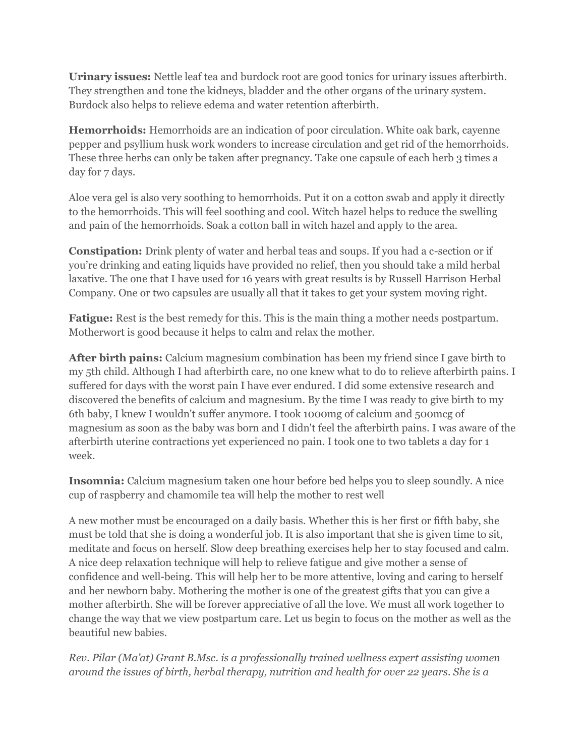**Urinary issues:** Nettle leaf tea and burdock root are good tonics for urinary issues afterbirth. They strengthen and tone the kidneys, bladder and the other organs of the urinary system. Burdock also helps to relieve edema and water retention afterbirth.

**Hemorrhoids:** Hemorrhoids are an indication of poor circulation. White oak bark, cayenne pepper and psyllium husk work wonders to increase circulation and get rid of the hemorrhoids. These three herbs can only be taken after pregnancy. Take one capsule of each herb 3 times a day for 7 days.

Aloe vera gel is also very soothing to hemorrhoids. Put it on a cotton swab and apply it directly to the hemorrhoids. This will feel soothing and cool. Witch hazel helps to reduce the swelling and pain of the hemorrhoids. Soak a cotton ball in witch hazel and apply to the area.

**Constipation:** Drink plenty of water and herbal teas and soups. If you had a c-section or if you're drinking and eating liquids have provided no relief, then you should take a mild herbal laxative. The one that I have used for 16 years with great results is by Russell Harrison Herbal Company. One or two capsules are usually all that it takes to get your system moving right.

**Fatigue:** Rest is the best remedy for this. This is the main thing a mother needs postpartum. Motherwort is good because it helps to calm and relax the mother.

**After birth pains:** Calcium magnesium combination has been my friend since I gave birth to my 5th child. Although I had afterbirth care, no one knew what to do to relieve afterbirth pains. I suffered for days with the worst pain I have ever endured. I did some extensive research and discovered the benefits of calcium and magnesium. By the time I was ready to give birth to my 6th baby, I knew I wouldn't suffer anymore. I took 1000mg of calcium and 500mcg of magnesium as soon as the baby was born and I didn't feel the afterbirth pains. I was aware of the afterbirth uterine contractions yet experienced no pain. I took one to two tablets a day for 1 week.

**Insomnia:** Calcium magnesium taken one hour before bed helps you to sleep soundly. A nice cup of raspberry and chamomile tea will help the mother to rest well

A new mother must be encouraged on a daily basis. Whether this is her first or fifth baby, she must be told that she is doing a wonderful job. It is also important that she is given time to sit, meditate and focus on herself. Slow deep breathing exercises help her to stay focused and calm. A nice deep relaxation technique will help to relieve fatigue and give mother a sense of confidence and well-being. This will help her to be more attentive, loving and caring to herself and her newborn baby. Mothering the mother is one of the greatest gifts that you can give a mother afterbirth. She will be forever appreciative of all the love. We must all work together to change the way that we view postpartum care. Let us begin to focus on the mother as well as the beautiful new babies.

*Rev. Pilar (Ma'at) Grant B.Msc. is a professionally trained wellness expert assisting women around the issues of birth, herbal therapy, nutrition and health for over 22 years. She is a*